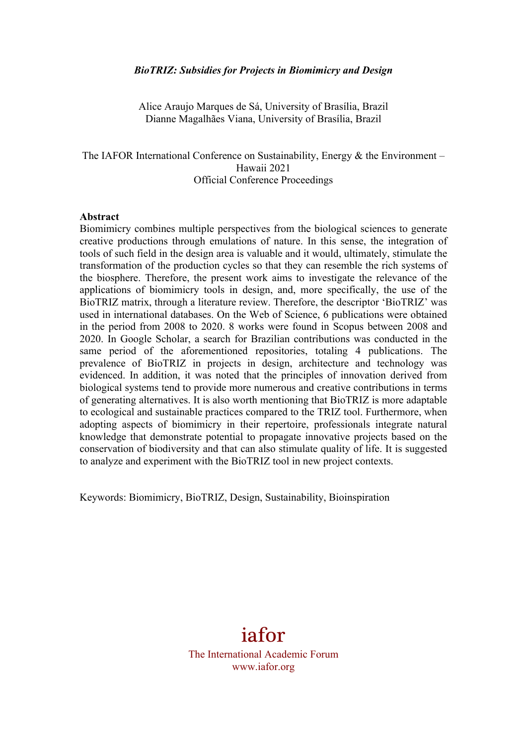#### *BioTRIZ: Subsidies for Projects in Biomimicry and Design*

Alice Araujo Marques de Sá, University of Brasília, Brazil Dianne Magalhães Viana, University of Brasília, Brazil

The IAFOR International Conference on Sustainability, Energy  $\&$  the Environment – Hawaii 2021 Official Conference Proceedings

#### **Abstract**

Biomimicry combines multiple perspectives from the biological sciences to generate creative productions through emulations of nature. In this sense, the integration of tools of such field in the design area is valuable and it would, ultimately, stimulate the transformation of the production cycles so that they can resemble the rich systems of the biosphere. Therefore, the present work aims to investigate the relevance of the applications of biomimicry tools in design, and, more specifically, the use of the BioTRIZ matrix, through a literature review. Therefore, the descriptor 'BioTRIZ' was used in international databases. On the Web of Science, 6 publications were obtained in the period from 2008 to 2020. 8 works were found in Scopus between 2008 and 2020. In Google Scholar, a search for Brazilian contributions was conducted in the same period of the aforementioned repositories, totaling 4 publications. The prevalence of BioTRIZ in projects in design, architecture and technology was evidenced. In addition, it was noted that the principles of innovation derived from biological systems tend to provide more numerous and creative contributions in terms of generating alternatives. It is also worth mentioning that BioTRIZ is more adaptable to ecological and sustainable practices compared to the TRIZ tool. Furthermore, when adopting aspects of biomimicry in their repertoire, professionals integrate natural knowledge that demonstrate potential to propagate innovative projects based on the conservation of biodiversity and that can also stimulate quality of life. It is suggested to analyze and experiment with the BioTRIZ tool in new project contexts.

Keywords: Biomimicry, BioTRIZ, Design, Sustainability, Bioinspiration

# iafor

The International Academic Forum www.iafor.org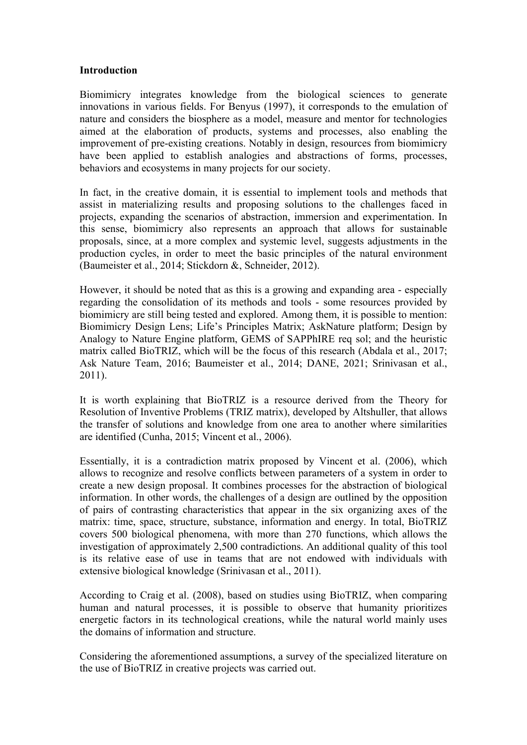#### **Introduction**

Biomimicry integrates knowledge from the biological sciences to generate innovations in various fields. For Benyus (1997), it corresponds to the emulation of nature and considers the biosphere as a model, measure and mentor for technologies aimed at the elaboration of products, systems and processes, also enabling the improvement of pre-existing creations. Notably in design, resources from biomimicry have been applied to establish analogies and abstractions of forms, processes, behaviors and ecosystems in many projects for our society.

In fact, in the creative domain, it is essential to implement tools and methods that assist in materializing results and proposing solutions to the challenges faced in projects, expanding the scenarios of abstraction, immersion and experimentation. In this sense, biomimicry also represents an approach that allows for sustainable proposals, since, at a more complex and systemic level, suggests adjustments in the production cycles, in order to meet the basic principles of the natural environment (Baumeister et al., 2014; Stickdorn &, Schneider, 2012).

However, it should be noted that as this is a growing and expanding area - especially regarding the consolidation of its methods and tools - some resources provided by biomimicry are still being tested and explored. Among them, it is possible to mention: Biomimicry Design Lens; Life's Principles Matrix; AskNature platform; Design by Analogy to Nature Engine platform, GEMS of SAPPhIRE req sol; and the heuristic matrix called BioTRIZ, which will be the focus of this research (Abdala et al., 2017; Ask Nature Team, 2016; Baumeister et al., 2014; DANE, 2021; Srinivasan et al., 2011).

It is worth explaining that BioTRIZ is a resource derived from the Theory for Resolution of Inventive Problems (TRIZ matrix), developed by Altshuller, that allows the transfer of solutions and knowledge from one area to another where similarities are identified (Cunha, 2015; Vincent et al., 2006).

Essentially, it is a contradiction matrix proposed by Vincent et al. (2006), which allows to recognize and resolve conflicts between parameters of a system in order to create a new design proposal. It combines processes for the abstraction of biological information. In other words, the challenges of a design are outlined by the opposition of pairs of contrasting characteristics that appear in the six organizing axes of the matrix: time, space, structure, substance, information and energy. In total, BioTRIZ covers 500 biological phenomena, with more than 270 functions, which allows the investigation of approximately 2,500 contradictions. An additional quality of this tool is its relative ease of use in teams that are not endowed with individuals with extensive biological knowledge (Srinivasan et al., 2011).

According to Craig et al. (2008), based on studies using BioTRIZ, when comparing human and natural processes, it is possible to observe that humanity prioritizes energetic factors in its technological creations, while the natural world mainly uses the domains of information and structure.

Considering the aforementioned assumptions, a survey of the specialized literature on the use of BioTRIZ in creative projects was carried out.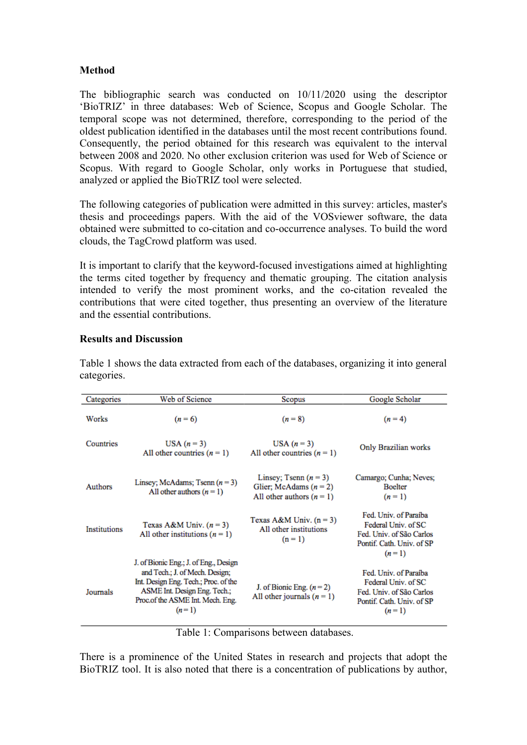# **Method**

The bibliographic search was conducted on 10/11/2020 using the descriptor 'BioTRIZ' in three databases: Web of Science, Scopus and Google Scholar. The temporal scope was not determined, therefore, corresponding to the period of the oldest publication identified in the databases until the most recent contributions found. Consequently, the period obtained for this research was equivalent to the interval between 2008 and 2020. No other exclusion criterion was used for Web of Science or Scopus. With regard to Google Scholar, only works in Portuguese that studied, analyzed or applied the BioTRIZ tool were selected.

The following categories of publication were admitted in this survey: articles, master's thesis and proceedings papers. With the aid of the VOSviewer software, the data obtained were submitted to co-citation and co-occurrence analyses. To build the word clouds, the TagCrowd platform was used.

It is important to clarify that the keyword-focused investigations aimed at highlighting the terms cited together by frequency and thematic grouping. The citation analysis intended to verify the most prominent works, and the co-citation revealed the contributions that were cited together, thus presenting an overview of the literature and the essential contributions.

## **Results and Discussion**

| Categories          | Web of Science                                                                                                                                                                                 |                                                                                    | Google Scholar                                                                                                   |
|---------------------|------------------------------------------------------------------------------------------------------------------------------------------------------------------------------------------------|------------------------------------------------------------------------------------|------------------------------------------------------------------------------------------------------------------|
|                     |                                                                                                                                                                                                | Scopus                                                                             |                                                                                                                  |
| Works               | $(n=6)$                                                                                                                                                                                        | $(n = 8)$                                                                          | $(n=4)$                                                                                                          |
| Countries           | USA $(n=3)$<br>All other countries $(n = 1)$                                                                                                                                                   | USA $(n=3)$<br>All other countries $(n = 1)$                                       | Only Brazilian works                                                                                             |
| Authors             | Linsey; McAdams; Tsenn $(n=3)$<br>All other authors $(n = 1)$                                                                                                                                  | Linsey; Tsenn $(n = 3)$<br>Glier; McAdams $(n = 2)$<br>All other authors $(n = 1)$ | Camargo; Cunha; Neves;<br><b>Boelter</b><br>$(n = 1)$                                                            |
| <b>Institutions</b> | Texas A&M Univ. $(n=3)$<br>All other institutions $(n = 1)$                                                                                                                                    | Texas A&M Univ. $(n = 3)$<br>All other institutions<br>$(n = 1)$                   | Fed. Univ. of Paraíba<br>Federal Univ. of SC<br>Fed. Univ. of São Carlos<br>Pontif. Cath. Univ. of SP<br>$(n=1)$ |
| Journals            | J. of Bionic Eng.; J. of Eng., Design<br>and Tech.; J. of Mech. Design;<br>Int. Design Eng. Tech.; Proc. of the<br>ASME Int. Design Eng. Tech.;<br>Proc.of the ASME Int. Mech. Eng.<br>$(n=1)$ | J. of Bionic Eng. $(n=2)$<br>All other journals $(n = 1)$                          | Fed. Univ. of Paraíba<br>Federal Univ. of SC<br>Fed. Univ. of São Carlos<br>Pontif. Cath. Univ. of SP<br>$(n=1)$ |

Table 1 shows the data extracted from each of the databases, organizing it into general categories.

Table 1: Comparisons between databases.

There is a prominence of the United States in research and projects that adopt the BioTRIZ tool. It is also noted that there is a concentration of publications by author,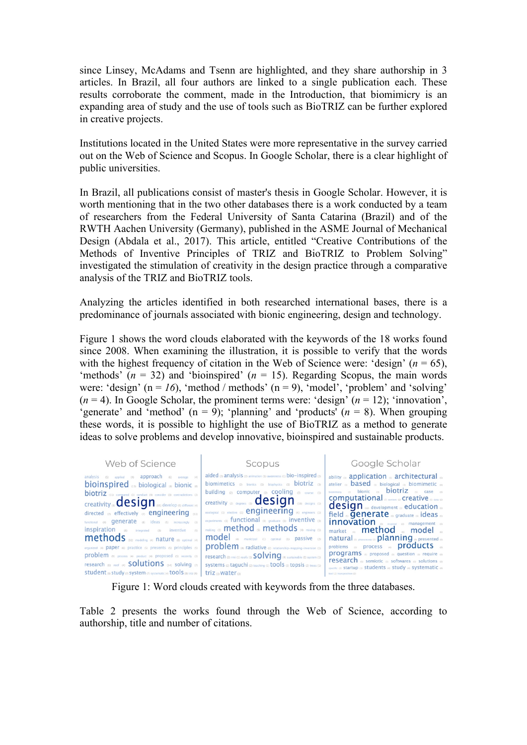since Linsey, McAdams and Tsenn are highlighted, and they share authorship in 3 articles. In Brazil, all four authors are linked to a single publication each. These results corroborate the comment, made in the Introduction, that biomimicry is an expanding area of study and the use of tools such as BioTRIZ can be further explored in creative projects.

Institutions located in the United States were more representative in the survey carried out on the Web of Science and Scopus. In Google Scholar, there is a clear highlight of public universities.

In Brazil, all publications consist of master's thesis in Google Scholar. However, it is worth mentioning that in the two other databases there is a work conducted by a team of researchers from the Federal University of Santa Catarina (Brazil) and of the RWTH Aachen University (Germany), published in the ASME Journal of Mechanical Design (Abdala et al., 2017). This article, entitled "Creative Contributions of the Methods of Inventive Principles of TRIZ and BioTRIZ to Problem Solving" investigated the stimulation of creativity in the design practice through a comparative analysis of the TRIZ and BioTRIZ tools.

Analyzing the articles identified in both researched international bases, there is a predominance of journals associated with bionic engineering, design and technology.

Figure 1 shows the word clouds elaborated with the keywords of the 18 works found since 2008. When examining the illustration, it is possible to verify that the words with the highest frequency of citation in the Web of Science were: 'design'  $(n = 65)$ , 'methods'  $(n = 32)$  and 'bioinspired'  $(n = 15)$ . Regarding Scopus, the main words were: 'design'  $(n = 16)$ , 'method / methods'  $(n = 9)$ , 'model', 'problem' and 'solving'  $(n = 4)$ . In Google Scholar, the prominent terms were: 'design'  $(n = 12)$ ; 'innovation', 'generate' and 'method'  $(n = 9)$ ; 'planning' and 'products'  $(n = 8)$ . When grouping these words, it is possible to highlight the use of BioTRIZ as a method to generate ideas to solve problems and develop innovative, bioinspired and sustainable products.

| Web of Science                                                                                                                                                                                                                                                                                                                                                                                                                                                                                                                                                                                                                                                                                                  | Scopus                                                                                                                                                                                                                                                                                                                                                                                                                                                                                                                                                                                                                                                                                                                                             | Google Scholar                                                                                                                                                                                                                                                                                                                                                                                                                                                                                                                                                                                                                                                                                                                                                                                              |
|-----------------------------------------------------------------------------------------------------------------------------------------------------------------------------------------------------------------------------------------------------------------------------------------------------------------------------------------------------------------------------------------------------------------------------------------------------------------------------------------------------------------------------------------------------------------------------------------------------------------------------------------------------------------------------------------------------------------|----------------------------------------------------------------------------------------------------------------------------------------------------------------------------------------------------------------------------------------------------------------------------------------------------------------------------------------------------------------------------------------------------------------------------------------------------------------------------------------------------------------------------------------------------------------------------------------------------------------------------------------------------------------------------------------------------------------------------------------------------|-------------------------------------------------------------------------------------------------------------------------------------------------------------------------------------------------------------------------------------------------------------------------------------------------------------------------------------------------------------------------------------------------------------------------------------------------------------------------------------------------------------------------------------------------------------------------------------------------------------------------------------------------------------------------------------------------------------------------------------------------------------------------------------------------------------|
| analysis (5) applied (4) approach (6) average (4)<br>bioinspired as biological as bionic as<br><b>biotriz</b> (11) compared (3) conduct (4) consider (3) contradictions (3)<br><b>Creativity</b> (a) <b>CCSIGN</b> (65) develop (5) different (4)<br>directed on effectively on engineering (13)<br>functional (4) <b>Generate</b> (8) ideas (5) increasingly (3)<br><b>inspiration</b> (8) integrated (3)<br>(5)<br>inventive<br>methods 32) modeling (4) nature (8) optimal (4)<br>organized (4) <b>paper</b> (6) practice (5) presents (5) principles (5)<br>problem (9) process (4) product (4) proposed (5) recently (3)<br>research $\omega$ roof $\omega$ <b>SO</b> utions $\omega_0$ solving $\omega_1$ | aided $\alpha$ analysis $\alpha$ animation (1) awareness (1) bio-inspired $\alpha$<br>biomimetics a bionics (1) biophysics (1) biotriz (3)<br>building 22 computer 22 COOling 33 course (1)<br>creativity $\omega$ degrees $\omega$ <b>CESIGN</b> $\omega$ designs $\omega$<br>ecological (1) elective (1) <b>engineers</b> (1)<br>experiments (1) functional (3) graduate (1) inventive (3)<br>$_{\text{making (1)}}$ method $_{\text{cs}}$ methods $_{\text{(4)}}$ mixing (i)<br>model (4) municipal (1) optimal (1) passive (2)<br>problem (4) radiative (2) relationship-mapping-inversion (1)<br>research (2) rmi (1) roofs (1) SO Ving (4) sustainable (1) system (1)<br>Systems (2) taquchi (2) teaching (1) tools (3) topsis (2) trees (1) | ability ® application ® architectural ®<br>atelier <sup>®</sup> <b>based</b> <sup>®</sup> biological <sup>®</sup> biomimetic <sup>®</sup><br>biomimicry as <b>bionic</b> as <b>biotriz</b> as case as<br><b>COMputational</b> on content (2) <b>Creative</b> (5) data (2)<br>$design$ as development as education as<br>field <sub>®</sub> <b>Generate</b> <sub>®</sub> graduate <sub>®</sub> ideas <sub>®</sub><br><b>innovation</b> on management on<br>market <b>method</b> model<br>natural (S) phenomena (2) <b>planning</b> on presented (s)<br>problems a process a <b>products</b> as<br>programs <sub>50</sub> proposed <sub>60</sub> question <sub>60</sub> require 60<br>research (s) semiotic (s) softwares (s) solutions (s)<br>specific (2) startup (3) students (6) study (6) systematic (6) |

Figure 1: Word clouds created with keywords from the three databases.

Table 2 presents the works found through the Web of Science, according to authorship, title and number of citations.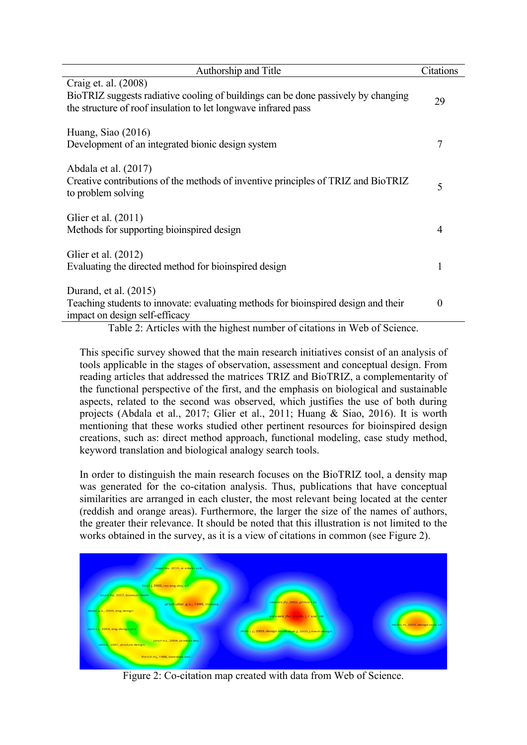| Authorship and Title                                                                                                                                                        | Citations |
|-----------------------------------------------------------------------------------------------------------------------------------------------------------------------------|-----------|
| Craig et. al. (2008)<br>BioTRIZ suggests radiative cooling of buildings can be done passively by changing<br>the structure of roof insulation to let longwave infrared pass | 29        |
| Huang, Siao $(2016)$<br>Development of an integrated bionic design system                                                                                                   | 7         |
| Abdala et al. (2017)<br>Creative contributions of the methods of inventive principles of TRIZ and BioTRIZ<br>to problem solving                                             | 5         |
| Glier et al. (2011)<br>Methods for supporting bioinspired design                                                                                                            | 4         |
| Glier et al. (2012)<br>Evaluating the directed method for bioinspired design                                                                                                |           |
| Durand, et al. (2015)<br>Teaching students to innovate: evaluating methods for bioinspired design and their<br>impact on design self-efficacy                               | $\theta$  |

Table 2: Articles with the highest number of citations in Web of Science.

This specific survey showed that the main research initiatives consist of an analysis of tools applicable in the stages of observation, assessment and conceptual design. From reading articles that addressed the matrices TRIZ and BioTRIZ, a complementarity of the functional perspective of the first, and the emphasis on biological and sustainable aspects, related to the second was observed, which justifies the use of both during projects (Abdala et al., 2017; Glier et al., 2011; Huang & Siao, 2016). It is worth mentioning that these works studied other pertinent resources for bioinspired design creations, such as: direct method approach, functional modeling, case study method, keyword translation and biological analogy search tools.

In order to distinguish the main research focuses on the BioTRIZ tool, a density map was generated for the co-citation analysis. Thus, publications that have conceptual similarities are arranged in each cluster, the most relevant being located at the center (reddish and orange areas). Furthermore, the larger the size of the names of authors, the greater their relevance. It should be noted that this illustration is not limited to the works obtained in the survey, as it is a view of citations in common (see Figure 2).



Figure 2: Co-citation map created with data from Web of Science.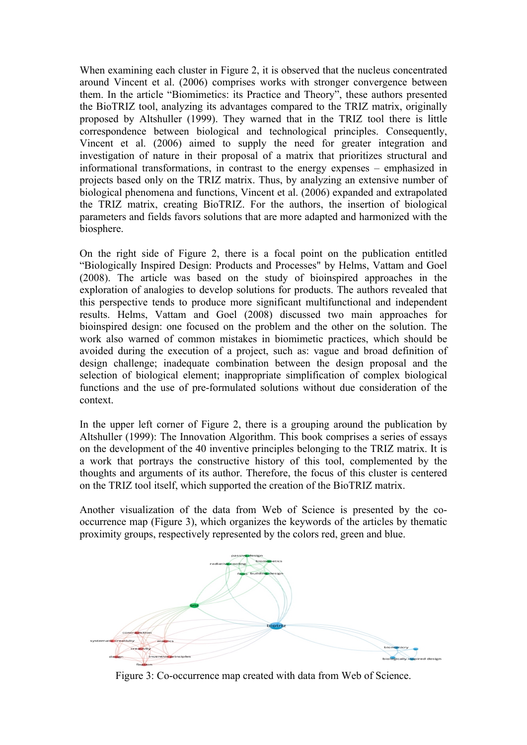When examining each cluster in Figure 2, it is observed that the nucleus concentrated around Vincent et al. (2006) comprises works with stronger convergence between them. In the article "Biomimetics: its Practice and Theory", these authors presented the BioTRIZ tool, analyzing its advantages compared to the TRIZ matrix, originally proposed by Altshuller (1999). They warned that in the TRIZ tool there is little correspondence between biological and technological principles. Consequently, Vincent et al. (2006) aimed to supply the need for greater integration and investigation of nature in their proposal of a matrix that prioritizes structural and informational transformations, in contrast to the energy expenses – emphasized in projects based only on the TRIZ matrix. Thus, by analyzing an extensive number of biological phenomena and functions, Vincent et al. (2006) expanded and extrapolated the TRIZ matrix, creating BioTRIZ. For the authors, the insertion of biological parameters and fields favors solutions that are more adapted and harmonized with the biosphere.

On the right side of Figure 2, there is a focal point on the publication entitled "Biologically Inspired Design: Products and Processes" by Helms, Vattam and Goel (2008). The article was based on the study of bioinspired approaches in the exploration of analogies to develop solutions for products. The authors revealed that this perspective tends to produce more significant multifunctional and independent results. Helms, Vattam and Goel (2008) discussed two main approaches for bioinspired design: one focused on the problem and the other on the solution. The work also warned of common mistakes in biomimetic practices, which should be avoided during the execution of a project, such as: vague and broad definition of design challenge; inadequate combination between the design proposal and the selection of biological element; inappropriate simplification of complex biological functions and the use of pre-formulated solutions without due consideration of the context.

In the upper left corner of Figure 2, there is a grouping around the publication by Altshuller (1999): The Innovation Algorithm. This book comprises a series of essays on the development of the 40 inventive principles belonging to the TRIZ matrix. It is a work that portrays the constructive history of this tool, complemented by the thoughts and arguments of its author. Therefore, the focus of this cluster is centered on the TRIZ tool itself, which supported the creation of the BioTRIZ matrix.

Another visualization of the data from Web of Science is presented by the cooccurrence map (Figure 3), which organizes the keywords of the articles by thematic proximity groups, respectively represented by the colors red, green and blue.



Figure 3: Co-occurrence map created with data from Web of Science.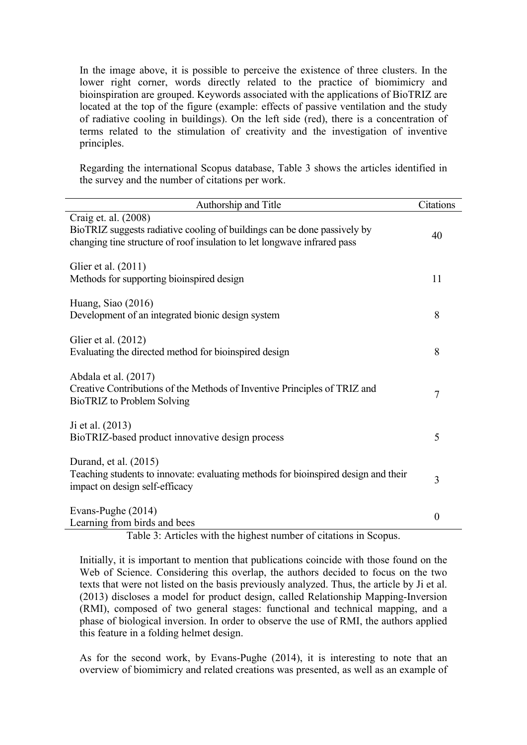In the image above, it is possible to perceive the existence of three clusters. In the lower right corner, words directly related to the practice of biomimicry and bioinspiration are grouped. Keywords associated with the applications of BioTRIZ are located at the top of the figure (example: effects of passive ventilation and the study of radiative cooling in buildings). On the left side (red), there is a concentration of terms related to the stimulation of creativity and the investigation of inventive principles.

Regarding the international Scopus database, Table 3 shows the articles identified in the survey and the number of citations per work.

| Authorship and Title                                                                                                                                                         | Citations        |
|------------------------------------------------------------------------------------------------------------------------------------------------------------------------------|------------------|
| Craig et. al. (2008)<br>BioTRIZ suggests radiative cooling of buildings can be done passively by<br>changing tine structure of roof insulation to let longwave infrared pass | 40               |
| Glier et al. (2011)<br>Methods for supporting bioinspired design                                                                                                             | 11               |
| Huang, Siao (2016)<br>Development of an integrated bionic design system                                                                                                      | 8                |
| Glier et al. (2012)<br>Evaluating the directed method for bioinspired design                                                                                                 | 8                |
| Abdala et al. (2017)<br>Creative Contributions of the Methods of Inventive Principles of TRIZ and<br>BioTRIZ to Problem Solving                                              | 7                |
| Ji et al. (2013)<br>BioTRIZ-based product innovative design process                                                                                                          | 5                |
| Durand, et al. (2015)<br>Teaching students to innovate: evaluating methods for bioinspired design and their<br>impact on design self-efficacy                                | 3                |
| Evans-Pughe (2014)<br>Learning from birds and bees                                                                                                                           | $\boldsymbol{0}$ |

Table 3: Articles with the highest number of citations in Scopus.

Initially, it is important to mention that publications coincide with those found on the Web of Science. Considering this overlap, the authors decided to focus on the two texts that were not listed on the basis previously analyzed. Thus, the article by Ji et al. (2013) discloses a model for product design, called Relationship Mapping-Inversion (RMI), composed of two general stages: functional and technical mapping, and a phase of biological inversion. In order to observe the use of RMI, the authors applied this feature in a folding helmet design.

As for the second work, by Evans-Pughe (2014), it is interesting to note that an overview of biomimicry and related creations was presented, as well as an example of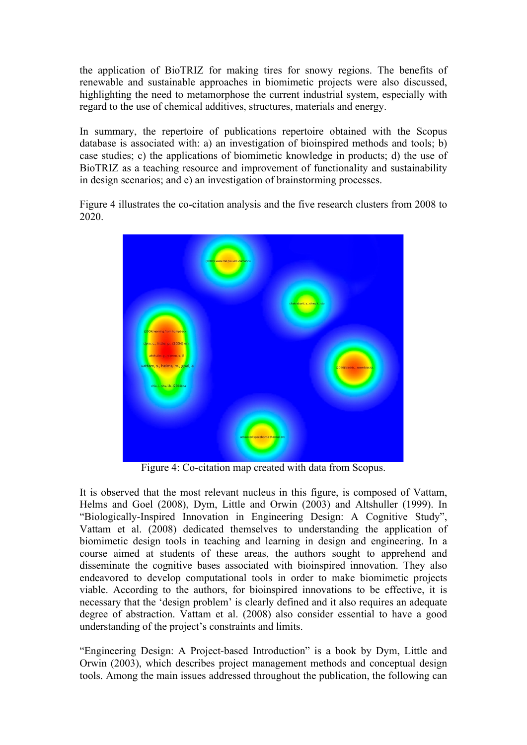the application of BioTRIZ for making tires for snowy regions. The benefits of renewable and sustainable approaches in biomimetic projects were also discussed, highlighting the need to metamorphose the current industrial system, especially with regard to the use of chemical additives, structures, materials and energy.

In summary, the repertoire of publications repertoire obtained with the Scopus database is associated with: a) an investigation of bioinspired methods and tools; b) case studies; c) the applications of biomimetic knowledge in products; d) the use of BioTRIZ as a teaching resource and improvement of functionality and sustainability in design scenarios; and e) an investigation of brainstorming processes.

Figure 4 illustrates the co-citation analysis and the five research clusters from 2008 to 2020.



Figure 4: Co-citation map created with data from Scopus.

It is observed that the most relevant nucleus in this figure, is composed of Vattam, Helms and Goel (2008), Dym, Little and Orwin (2003) and Altshuller (1999). In "Biologically-Inspired Innovation in Engineering Design: A Cognitive Study", Vattam et al. (2008) dedicated themselves to understanding the application of biomimetic design tools in teaching and learning in design and engineering. In a course aimed at students of these areas, the authors sought to apprehend and disseminate the cognitive bases associated with bioinspired innovation. They also endeavored to develop computational tools in order to make biomimetic projects viable. According to the authors, for bioinspired innovations to be effective, it is necessary that the 'design problem' is clearly defined and it also requires an adequate degree of abstraction. Vattam et al. (2008) also consider essential to have a good understanding of the project's constraints and limits.

"Engineering Design: A Project-based Introduction" is a book by Dym, Little and Orwin (2003), which describes project management methods and conceptual design tools. Among the main issues addressed throughout the publication, the following can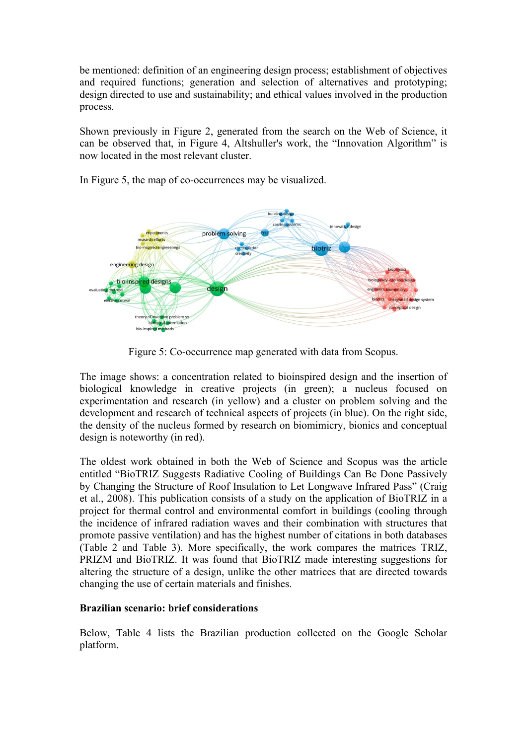be mentioned: definition of an engineering design process; establishment of objectives and required functions; generation and selection of alternatives and prototyping; design directed to use and sustainability; and ethical values involved in the production process.

Shown previously in Figure 2, generated from the search on the Web of Science, it can be observed that, in Figure 4, Altshuller's work, the "Innovation Algorithm" is now located in the most relevant cluster.

In Figure 5, the map of co-occurrences may be visualized.



Figure 5: Co-occurrence map generated with data from Scopus.

The image shows: a concentration related to bioinspired design and the insertion of biological knowledge in creative projects (in green); a nucleus focused on experimentation and research (in yellow) and a cluster on problem solving and the development and research of technical aspects of projects (in blue). On the right side, the density of the nucleus formed by research on biomimicry, bionics and conceptual design is noteworthy (in red).

The oldest work obtained in both the Web of Science and Scopus was the article entitled "BioTRIZ Suggests Radiative Cooling of Buildings Can Be Done Passively by Changing the Structure of Roof Insulation to Let Longwave Infrared Pass" (Craig et al., 2008). This publication consists of a study on the application of BioTRIZ in a project for thermal control and environmental comfort in buildings (cooling through the incidence of infrared radiation waves and their combination with structures that promote passive ventilation) and has the highest number of citations in both databases (Table 2 and Table 3). More specifically, the work compares the matrices TRIZ, PRIZM and BioTRIZ. It was found that BioTRIZ made interesting suggestions for altering the structure of a design, unlike the other matrices that are directed towards changing the use of certain materials and finishes.

# **Brazilian scenario: brief considerations**

Below, Table 4 lists the Brazilian production collected on the Google Scholar platform.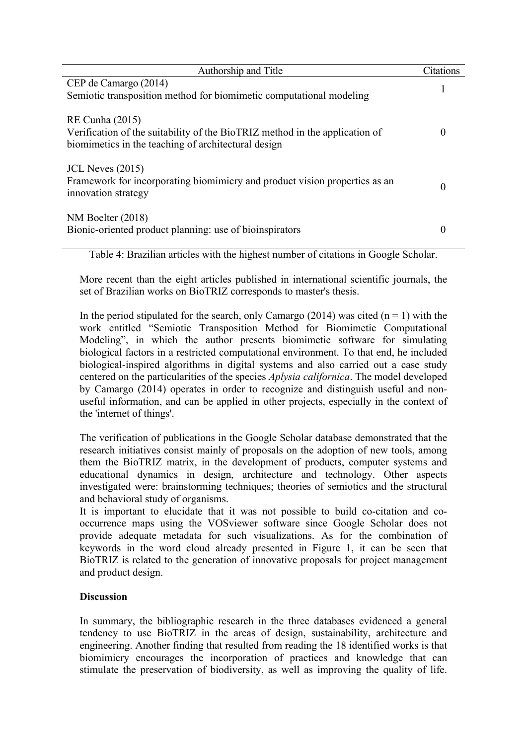| Authorship and Title                                                                                                                                         | Citations |
|--------------------------------------------------------------------------------------------------------------------------------------------------------------|-----------|
| CEP de Camargo (2014)<br>Semiotic transposition method for biomimetic computational modeling                                                                 |           |
| <b>RE Cunha (2015)</b><br>Verification of the suitability of the BioTRIZ method in the application of<br>biomimetics in the teaching of architectural design |           |
| JCL Neves $(2015)$<br>Framework for incorporating biomimicry and product vision properties as an<br>innovation strategy                                      |           |
| $NM$ Boelter (2018)<br>Bionic-oriented product planning: use of bioinspirators                                                                               |           |

Table 4: Brazilian articles with the highest number of citations in Google Scholar.

More recent than the eight articles published in international scientific journals, the set of Brazilian works on BioTRIZ corresponds to master's thesis.

In the period stipulated for the search, only Camargo (2014) was cited  $(n = 1)$  with the work entitled "Semiotic Transposition Method for Biomimetic Computational Modeling", in which the author presents biomimetic software for simulating biological factors in a restricted computational environment. To that end, he included biological-inspired algorithms in digital systems and also carried out a case study centered on the particularities of the species *Aplysia californica*. The model developed by Camargo (2014) operates in order to recognize and distinguish useful and nonuseful information, and can be applied in other projects, especially in the context of the 'internet of things'.

The verification of publications in the Google Scholar database demonstrated that the research initiatives consist mainly of proposals on the adoption of new tools, among them the BioTRIZ matrix, in the development of products, computer systems and educational dynamics in design, architecture and technology. Other aspects investigated were: brainstorming techniques; theories of semiotics and the structural and behavioral study of organisms.

It is important to elucidate that it was not possible to build co-citation and cooccurrence maps using the VOSviewer software since Google Scholar does not provide adequate metadata for such visualizations. As for the combination of keywords in the word cloud already presented in Figure 1, it can be seen that BioTRIZ is related to the generation of innovative proposals for project management and product design.

# **Discussion**

In summary, the bibliographic research in the three databases evidenced a general tendency to use BioTRIZ in the areas of design, sustainability, architecture and engineering. Another finding that resulted from reading the 18 identified works is that biomimicry encourages the incorporation of practices and knowledge that can stimulate the preservation of biodiversity, as well as improving the quality of life.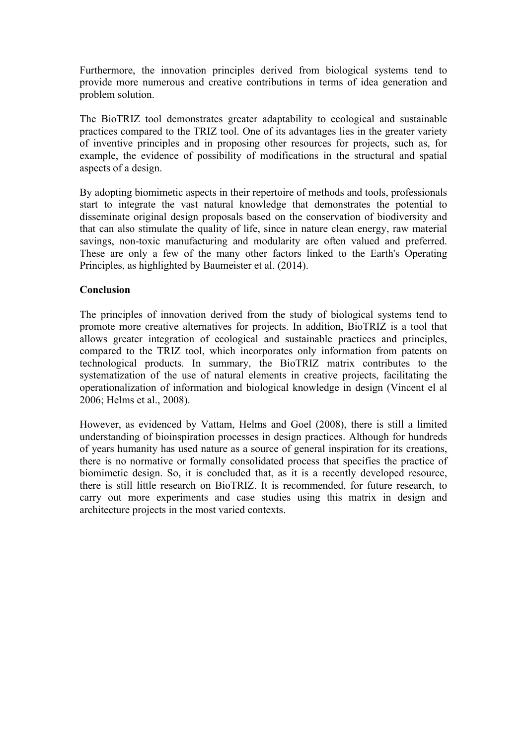Furthermore, the innovation principles derived from biological systems tend to provide more numerous and creative contributions in terms of idea generation and problem solution.

The BioTRIZ tool demonstrates greater adaptability to ecological and sustainable practices compared to the TRIZ tool. One of its advantages lies in the greater variety of inventive principles and in proposing other resources for projects, such as, for example, the evidence of possibility of modifications in the structural and spatial aspects of a design.

By adopting biomimetic aspects in their repertoire of methods and tools, professionals start to integrate the vast natural knowledge that demonstrates the potential to disseminate original design proposals based on the conservation of biodiversity and that can also stimulate the quality of life, since in nature clean energy, raw material savings, non-toxic manufacturing and modularity are often valued and preferred. These are only a few of the many other factors linked to the Earth's Operating Principles, as highlighted by Baumeister et al. (2014).

### **Conclusion**

The principles of innovation derived from the study of biological systems tend to promote more creative alternatives for projects. In addition, BioTRIZ is a tool that allows greater integration of ecological and sustainable practices and principles, compared to the TRIZ tool, which incorporates only information from patents on technological products. In summary, the BioTRIZ matrix contributes to the systematization of the use of natural elements in creative projects, facilitating the operationalization of information and biological knowledge in design (Vincent el al 2006; Helms et al., 2008).

However, as evidenced by Vattam, Helms and Goel (2008), there is still a limited understanding of bioinspiration processes in design practices. Although for hundreds of years humanity has used nature as a source of general inspiration for its creations, there is no normative or formally consolidated process that specifies the practice of biomimetic design. So, it is concluded that, as it is a recently developed resource, there is still little research on BioTRIZ. It is recommended, for future research, to carry out more experiments and case studies using this matrix in design and architecture projects in the most varied contexts.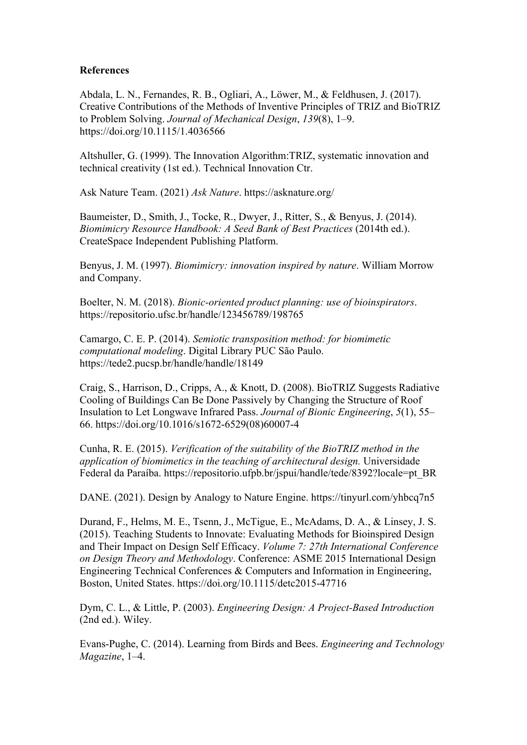### **References**

Abdala, L. N., Fernandes, R. B., Ogliari, A., Löwer, M., & Feldhusen, J. (2017). Creative Contributions of the Methods of Inventive Principles of TRIZ and BioTRIZ to Problem Solving. *Journal of Mechanical Design*, *139*(8), 1–9. https://doi.org/10.1115/1.4036566

Altshuller, G. (1999). The Innovation Algorithm:TRIZ, systematic innovation and technical creativity (1st ed.). Technical Innovation Ctr.

Ask Nature Team. (2021) *Ask Nature*. https://asknature.org/

Baumeister, D., Smith, J., Tocke, R., Dwyer, J., Ritter, S., & Benyus, J. (2014). *Biomimicry Resource Handbook: A Seed Bank of Best Practices* (2014th ed.). CreateSpace Independent Publishing Platform.

Benyus, J. M. (1997). *Biomimicry: innovation inspired by nature*. William Morrow and Company.

Boelter, N. M. (2018). *Bionic-oriented product planning: use of bioinspirators*. https://repositorio.ufsc.br/handle/123456789/198765

Camargo, C. E. P. (2014). *Semiotic transposition method: for biomimetic computational modeling*. Digital Library PUC São Paulo. https://tede2.pucsp.br/handle/handle/18149

Craig, S., Harrison, D., Cripps, A., & Knott, D. (2008). BioTRIZ Suggests Radiative Cooling of Buildings Can Be Done Passively by Changing the Structure of Roof Insulation to Let Longwave Infrared Pass. *Journal of Bionic Engineering*, *5*(1), 55– 66. https://doi.org/10.1016/s1672-6529(08)60007-4

Cunha, R. E. (2015). *Verification of the suitability of the BioTRIZ method in the application of biomimetics in the teaching of architectural design.* Universidade Federal da Paraíba. https://repositorio.ufpb.br/jspui/handle/tede/8392?locale=pt\_BR

DANE. (2021). Design by Analogy to Nature Engine. https://tinyurl.com/yhbcq7n5

Durand, F., Helms, M. E., Tsenn, J., McTigue, E., McAdams, D. A., & Linsey, J. S. (2015). Teaching Students to Innovate: Evaluating Methods for Bioinspired Design and Their Impact on Design Self Efficacy. *Volume 7: 27th International Conference on Design Theory and Methodology*. Conference: ASME 2015 International Design Engineering Technical Conferences & Computers and Information in Engineering, Boston, United States. https://doi.org/10.1115/detc2015-47716

Dym, C. L., & Little, P. (2003). *Engineering Design: A Project-Based Introduction* (2nd ed.). Wiley.

Evans-Pughe, C. (2014). Learning from Birds and Bees. *Engineering and Technology Magazine*, 1–4.